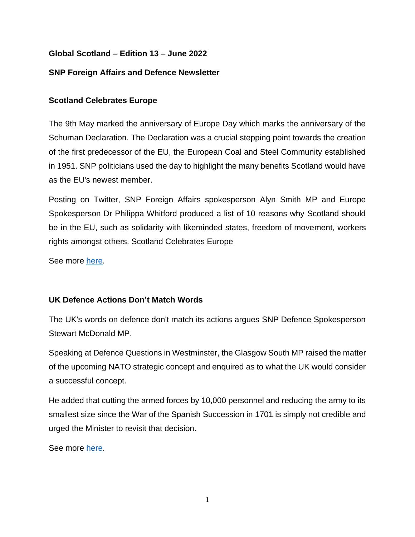## **Global Scotland – Edition 13 – June 2022**

#### **SNP Foreign Affairs and Defence Newsletter**

## **Scotland Celebrates Europe**

The 9th May marked the anniversary of Europe Day which marks the anniversary of the Schuman Declaration. The Declaration was a crucial stepping point towards the creation of the first predecessor of the EU, the European Coal and Steel Community established in 1951. SNP politicians used the day to highlight the many benefits Scotland would have as the EU's newest member.

Posting on Twitter, SNP Foreign Affairs spokesperson Alyn Smith MP and Europe Spokesperson Dr Philippa Whitford produced a list of 10 reasons why Scotland should be in the EU, such as solidarity with likeminded states, freedom of movement, workers rights amongst others. Scotland Celebrates Europe

See more [here.](https://twitter.com/AlynSmith/status/1523617513224871936)

# **UK Defence Actions Don't Match Words**

The UK's words on defence don't match its actions argues SNP Defence Spokesperson Stewart McDonald MP.

Speaking at Defence Questions in Westminster, the Glasgow South MP raised the matter of the upcoming NATO strategic concept and enquired as to what the UK would consider a successful concept.

He added that cutting the armed forces by 10,000 personnel and reducing the army to its smallest size since the War of the Spanish Succession in 1701 is simply not credible and urged the Minister to revisit that decision.

See more [here.](https://twitter.com/SNPDefence/status/1536347594481205249)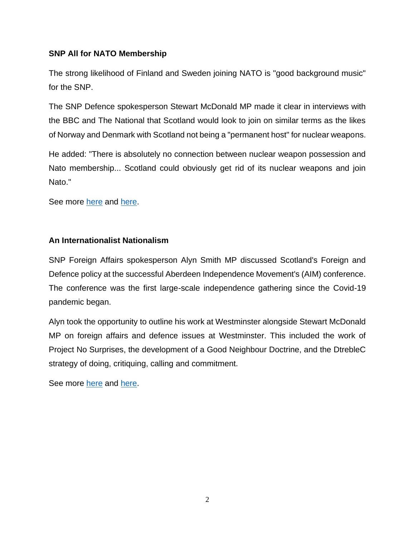## **SNP All for NATO Membership**

The strong likelihood of Finland and Sweden joining NATO is "good background music" for the SNP.

The SNP Defence spokesperson Stewart McDonald MP made it clear in interviews with the BBC and The National that Scotland would look to join on similar terms as the likes of Norway and Denmark with Scotland not being a "permanent host" for nuclear weapons.

He added: "There is absolutely no connection between nuclear weapon possession and Nato membership... Scotland could obviously get rid of its nuclear weapons and join Nato."

See more [here](https://twitter.com/GlennBBC/status/1526835336722120705) and [here.](https://www.thenational.scot/news/20143007.scotlands-post-indy-case-joining-nato-boosted-amid-finland-sweden-moves/)

#### **An Internationalist Nationalism**

SNP Foreign Affairs spokesperson Alyn Smith MP discussed Scotland's Foreign and Defence policy at the successful Aberdeen Independence Movement's (AIM) conference. The conference was the first large-scale independence gathering since the Covid-19 pandemic began.

Alyn took the opportunity to outline his work at Westminster alongside Stewart McDonald MP on foreign affairs and defence issues at Westminster. This included the work of Project No Surprises, the development of a Good Neighbour Doctrine, and the DtrebleC strategy of doing, critiquing, calling and commitment.

See more [here](https://twitter.com/AlynSmith/status/1530939562431766532) and [here.](https://twitter.com/ScotNational/status/1531730998358159360)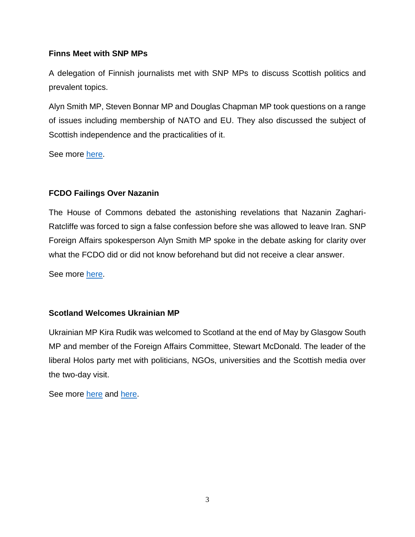#### **Finns Meet with SNP MPs**

A delegation of Finnish journalists met with SNP MPs to discuss Scottish politics and prevalent topics.

Alyn Smith MP, Steven Bonnar MP and Douglas Chapman MP took questions on a range of issues including membership of NATO and EU. They also discussed the subject of Scottish independence and the practicalities of it.

See more [here.](https://twitter.com/StevenBonnarSNP/status/1524452399137632259)

# **FCDO Failings Over Nazanin**

The House of Commons debated the astonishing revelations that Nazanin Zaghari-Ratcliffe was forced to sign a false confession before she was allowed to leave Iran. SNP Foreign Affairs spokesperson Alyn Smith MP spoke in the debate asking for clarity over what the FCDO did or did not know beforehand but did not receive a clear answer.

See more [here.](https://twitter.com/AlynSmith/status/1529121756123897858)

# **Scotland Welcomes Ukrainian MP**

Ukrainian MP Kira Rudik was welcomed to Scotland at the end of May by Glasgow South MP and member of the Foreign Affairs Committee, Stewart McDonald. The leader of the liberal Holos party met with politicians, NGOs, universities and the Scottish media over the two-day visit.

See more [here](https://twitter.com/scotrefcouncil/status/1531604590944260096) and [here.](https://twitter.com/StewartMcDonald/status/1531626859959566336)